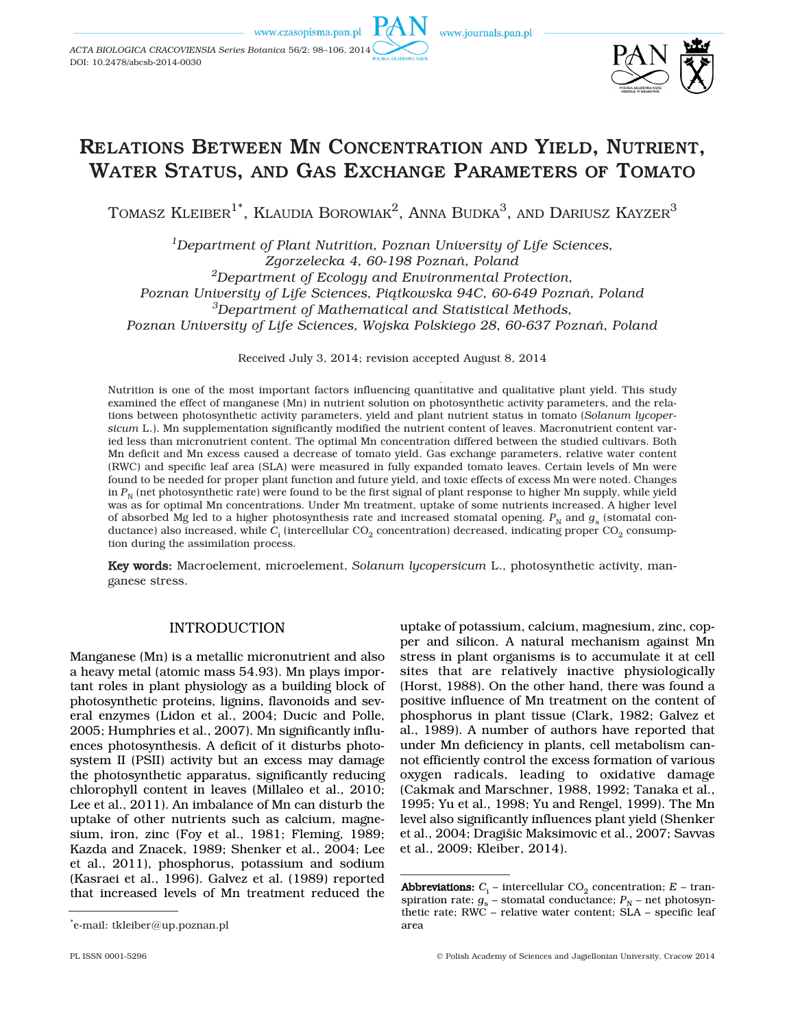www.czasopisma.pan.pl

*ACTA BIOLOGICA CRACOVIENSIA Series Botanica* 56/2: 98–106, 2014 DOI: 10.2478/abcsb-2014-0030





# RELATIONS BETWEEN MN CONCENTRATION AND YIELD, NUTRIENT, WATER STATUS, AND GAS EXCHANGE PARAMETERS OF TOMATO

TOMASZ KLEIBER<sup>1\*</sup>, KLAUDIA BOROWIAK<sup>2</sup>, ANNA BUDKA<sup>3</sup>, AND DARIUSZ KAYZER<sup>3</sup>

*1Department of Plant Nutrition, Poznan University of Life Sciences, Zgorzelecka 4, 60-198 Poznań, Poland 2Department of Ecology and Environmental Protection, Poznan University of Life Sciences, Piątkowska 94C, 60-649 Poznań, Poland 3Department of Mathematical and Statistical Methods, Poznan University of Life Sciences, Wojska Polskiego 28, 60-637 Poznań, Poland* 

Received July 3, 2014; revision accepted August 8, 2014

Nutrition is one of the most important factors influencing quantitative and qualitative plant yield. This study examined the effect of manganese (Mn) in nutrient solution on photosynthetic activity parameters, and the relations between photosynthetic activity parameters, yield and plant nutrient status in tomato (*Solanum lycopersicum* L.). Mn supplementation significantly modified the nutrient content of leaves. Macronutrient content varied less than micronutrient content. The optimal Mn concentration differed between the studied cultivars. Both Mn deficit and Mn excess caused a decrease of tomato yield. Gas exchange parameters, relative water content (RWC) and specific leaf area (SLA) were measured in fully expanded tomato leaves. Certain levels of Mn were found to be needed for proper plant function and future yield, and toxic effects of excess Mn were noted. Changes in  $P_N$  (net photosynthetic rate) were found to be the first signal of plant response to higher Mn supply, while yield was as for optimal Mn concentrations. Under Mn treatment, uptake of some nutrients increased. A higher level of absorbed Mg led to a higher photosynthesis rate and increased stomatal opening.  $P_N$  and  $g_S$  (stomatal conductance) also increased, while *C*<sub>i</sub> (intercellular CO<sub>2</sub> concentration) decreased, indicating proper CO<sub>2</sub> consumption during the assimilation process.

Key words: Macroelement, microelement, *Solanum lycopersicum* L., photosynthetic activity, manganese stress.

# INTRODUCTION

Manganese (Mn) is a metallic micronutrient and also a heavy metal (atomic mass 54.93). Mn plays important roles in plant physiology as a building block of photosynthetic proteins, lignins, flavonoids and several enzymes (Lidon et al., 2004; Ducic and Polle, 2005; Humphries et al., 2007). Mn significantly influences photosynthesis. A deficit of it disturbs photosystem II (PSII) activity but an excess may damage the photosynthetic apparatus, significantly reducing chlorophyll content in leaves (Millaleo et al., 2010; Lee et al., 2011). An imbalance of Mn can disturb the uptake of other nutrients such as calcium, magnesium, iron, zinc (Foy et al., 1981; Fleming, 1989; Kazda and Znacek, 1989; Shenker et al., 2004; Lee et al., 2011), phosphorus, potassium and sodium (Kasraei et al., 1996). Galvez et al. (1989) reported that increased levels of Mn treatment reduced the

uptake of potassium, calcium, magnesium, zinc, copper and silicon. A natural mechanism against Mn stress in plant organisms is to accumulate it at cell sites that are relatively inactive physiologically (Horst, 1988). On the other hand, there was found a positive influence of Mn treatment on the content of phosphorus in plant tissue (Clark, 1982; Galvez et al., 1989). A number of authors have reported that under Mn deficiency in plants, cell metabolism cannot efficiently control the excess formation of various oxygen radicals, leading to oxidative damage (Cakmak and Marschner, 1988, 1992; Tanaka et al., 1995; Yu et al., 1998; Yu and Rengel, 1999). The Mn level also significantly influences plant yield (Shenker et al., 2004; Dragišic Maksimovic et al., 2007; Savvas et al., 2009; Kleiber, 2014).

<sup>\*</sup> e-mail: tkleiber@up.poznan.pl

**Abbreviations:**  $C_i$  – intercellular  $CO_2$  concentration;  $E$  – transpiration rate;  $g_s$  – stomatal conductance;  $P_N$  – net photosynthetic rate; RWC – relative water content; SLA – specific leaf area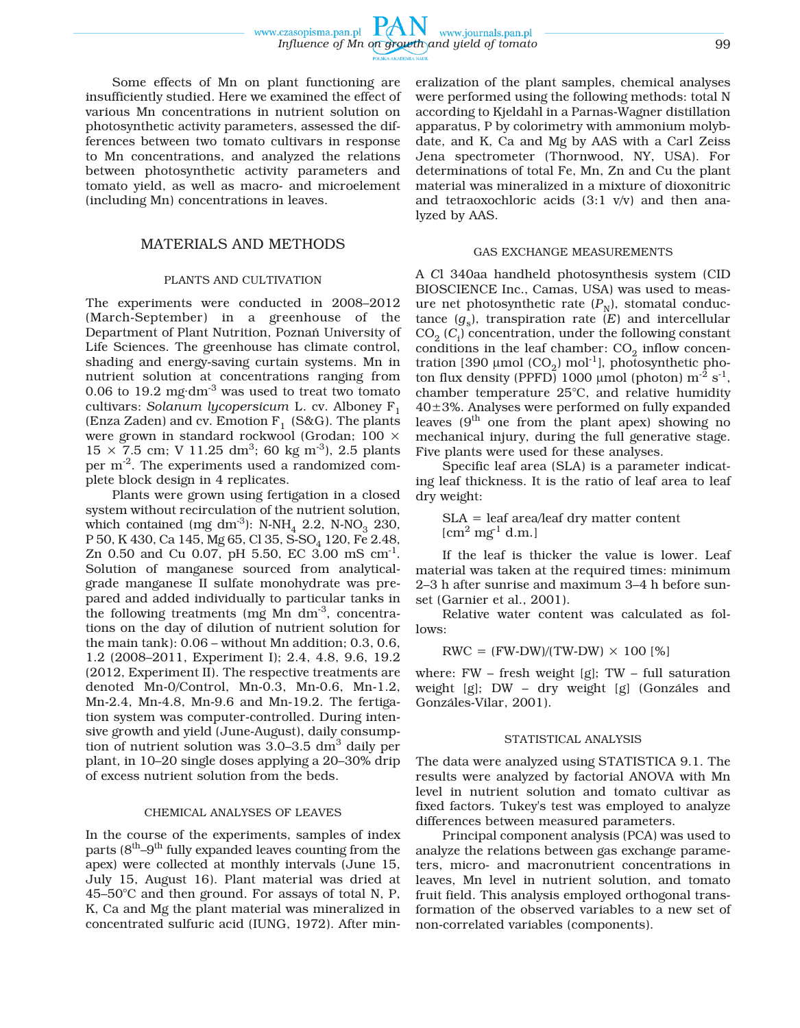Some effects of Mn on plant functioning are insufficiently studied. Here we examined the effect of various Mn concentrations in nutrient solution on photosynthetic activity parameters, assessed the differences between two tomato cultivars in response to Mn concentrations, and analyzed the relations between photosynthetic activity parameters and tomato yield, as well as macro- and microelement (including Mn) concentrations in leaves.

## MATERIALS AND METHODS

#### PLANTS AND CULTIVATION

The experiments were conducted in 2008–2012 (March-September) in a greenhouse of the Department of Plant Nutrition, Poznań University of Life Sciences. The greenhouse has climate control, shading and energy-saving curtain systems. Mn in nutrient solution at concentrations ranging from 0.06 to 19.2 mg $\text{dm}^3$  was used to treat two tomato cultivars: *Solanum lycopersicum* L. cv. Alboney F1 (Enza Zaden) and cv. Emotion  $F_1$  (S&G). The plants were grown in standard rockwool (Grodan; 100 ×  $15 \times 7.5$  cm; V 11.25 dm<sup>3</sup>; 60 kg m<sup>-3</sup>), 2.5 plants per m-2. The experiments used a randomized complete block design in 4 replicates.

Plants were grown using fertigation in a closed system without recirculation of the nutrient solution, which contained (mg dm<sup>-3</sup>): N-NH<sub>4</sub> 2.2, N-NO<sub>3</sub> 230, P 50, K 430, Ca 145, Mg 65, Cl 35, S-SO<sub>4</sub> 120, Fe 2.48, Zn 0.50 and Cu 0.07, pH 5.50, EC 3.00 mS  $cm^{-1}$ . Solution of manganese sourced from analyticalgrade manganese II sulfate monohydrate was prepared and added individually to particular tanks in the following treatments (mg Mn  $dm^{-3}$ , concentrations on the day of dilution of nutrient solution for the main tank): 0.06 – without Mn addition; 0.3, 0.6, 1.2 (2008–2011, Experiment I); 2.4, 4.8, 9.6, 19.2 (2012, Experiment II). The respective treatments are denoted Mn-0/Control, Mn-0.3, Mn-0.6, Mn-1.2, Mn-2.4, Mn-4.8, Mn-9.6 and Mn-19.2. The fertigation system was computer-controlled. During intensive growth and yield (June-August), daily consumption of nutrient solution was  $3.0-3.5$  dm<sup>3</sup> daily per plant, in 10–20 single doses applying a 20–30% drip of excess nutrient solution from the beds.

# CHEMICAL ANALYSES OF LEAVES

In the course of the experiments, samples of index parts  $(8<sup>th</sup>-9<sup>th</sup>$  fully expanded leaves counting from the apex) were collected at monthly intervals (June 15, July 15, August 16). Plant material was dried at 45–50°C and then ground. For assays of total N, P, K, Ca and Mg the plant material was mineralized in concentrated sulfuric acid (IUNG, 1972). After mineralization of the plant samples, chemical analyses were performed using the following methods: total N according to Kjeldahl in a Parnas-Wagner distillation apparatus, P by colorimetry with ammonium molybdate, and K, Ca and Mg by AAS with a Carl Zeiss Jena spectrometer (Thornwood, NY, USA). For determinations of total Fe, Mn, Zn and Cu the plant material was mineralized in a mixture of dioxonitric and tetraoxochloric acids (3:1 v/v) and then analyzed by AAS.

#### GAS EXCHANGE MEASUREMENTS

A *C*l 340aa handheld photosynthesis system (CID BIOSCIENCE Inc., Camas, USA) was used to measure net photosynthetic rate  $(P_N)$ , stomatal conductance  $(g_s)$ , transpiration rate  $(E)$  and intercellular CO2 (*C*<sup>i</sup> ) concentration, under the following constant conditions in the leaf chamber:  $CO<sub>2</sub>$  inflow concentration [390 μmol (CO<sub>2</sub>) mol<sup>-1</sup>], photosynthetic photon flux density (PPFD) 1000 μmol (photon)  $m<sup>-2</sup>$  s<sup>-1</sup>, chamber temperature 25°C, and relative humidity 40±3%. Analyses were performed on fully expanded leaves  $(9<sup>th</sup>$  one from the plant apex) showing no mechanical injury, during the full generative stage. Five plants were used for these analyses.

Specific leaf area (SLA) is a parameter indicating leaf thickness. It is the ratio of leaf area to leaf dry weight:

SLA = leaf area/leaf dry matter content  $[cm<sup>2</sup> mg<sup>-1</sup> d.m.]$ 

If the leaf is thicker the value is lower. Leaf material was taken at the required times: minimum 2–3 h after sunrise and maximum 3–4 h before sunset (Garnier et al., 2001).

Relative water content was calculated as follows:

 $RWC = (FW-DW)/(TW-DW) \times 100$  [%]

where:  $FW$  – fresh weight [g];  $TW$  – full saturation weight [g]; DW – dry weight [g] (Gonzáles and Gonzáles-Vilar, 2001).

#### STATISTICAL ANALYSIS

The data were analyzed using STATISTICA 9.1. The results were analyzed by factorial ANOVA with Mn level in nutrient solution and tomato cultivar as fixed factors. Tukey's test was employed to analyze differences between measured parameters.

Principal component analysis (PCA) was used to analyze the relations between gas exchange parameters, micro- and macronutrient concentrations in leaves, Mn level in nutrient solution, and tomato fruit field. This analysis employed orthogonal transformation of the observed variables to a new set of non-correlated variables (components).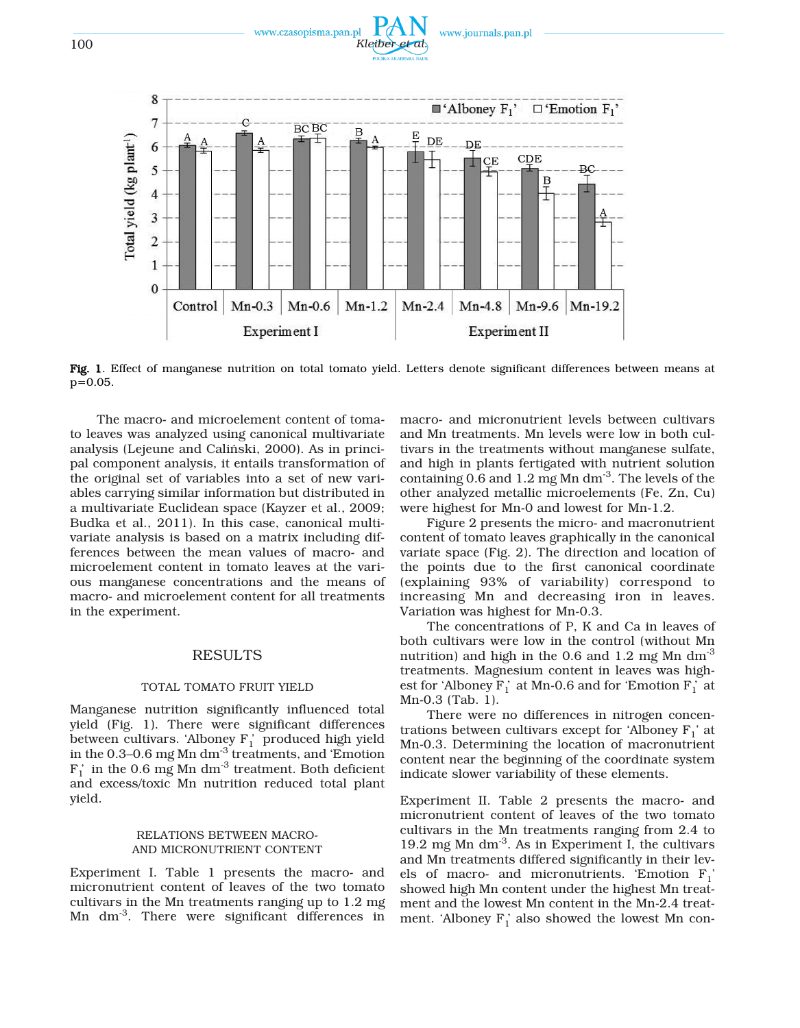



Fig. 1. Effect of manganese nutrition on total tomato yield. Letters denote significant differences between means at p=0.05.

The macro- and microelement content of tomato leaves was analyzed using canonical multivariate analysis (Lejeune and Caliński, 2000). As in principal component analysis, it entails transformation of the original set of variables into a set of new variables carrying similar information but distributed in a multivariate Euclidean space (Kayzer et al., 2009; Budka et al., 2011). In this case, canonical multivariate analysis is based on a matrix including differences between the mean values of macro- and microelement content in tomato leaves at the various manganese concentrations and the means of macro- and microelement content for all treatments in the experiment.

#### RESULTS

## TOTAL TOMATO FRUIT YIELD

Manganese nutrition significantly influenced total yield (Fig. 1). There were significant differences between cultivars. Alboney  $F_1$  produced high yield in the 0.3–0.6 mg Mn dm-3 treatments, and 'Emotion  $F_1'$  in the 0.6 mg Mn dm<sup>-3</sup> treatment. Both deficient and excess/toxic Mn nutrition reduced total plant yield.

# RELATIONS BETWEEN MACRO-AND MICRONUTRIENT CONTENT

Experiment I. Table 1 presents the macro- and micronutrient content of leaves of the two tomato cultivars in the Mn treatments ranging up to 1.2 mg Mn dm<sup>-3</sup>. There were significant differences in

macro- and micronutrient levels between cultivars and Mn treatments. Mn levels were low in both cultivars in the treatments without manganese sulfate, and high in plants fertigated with nutrient solution containing 0.6 and 1.2 mg Mn dm-3. The levels of the other analyzed metallic microelements (Fe, Zn, Cu) were highest for Mn-0 and lowest for Mn-1.2.

Figure 2 presents the micro- and macronutrient content of tomato leaves graphically in the canonical variate space (Fig. 2). The direction and location of the points due to the first canonical coordinate (explaining 93% of variability) correspond to increasing Mn and decreasing iron in leaves. Variation was highest for Mn-0.3.

The concentrations of P, K and Ca in leaves of both cultivars were low in the control (without Mn nutrition) and high in the 0.6 and 1.2 mg Mn dm<sup>-3</sup> treatments. Magnesium content in leaves was highest for 'Alboney  $F_1$ ' at Mn-0.6 and for 'Emotion  $F_1$ ' at Mn-0.3 (Tab. 1).

There were no differences in nitrogen concentrations between cultivars except for 'Alboney  $F_1$ ' at Mn-0.3. Determining the location of macronutrient content near the beginning of the coordinate system indicate slower variability of these elements.

Experiment II. Table 2 presents the macro- and micronutrient content of leaves of the two tomato cultivars in the Mn treatments ranging from 2.4 to 19.2 mg Mn  $\rm{dm}^{3}$ . As in Experiment I, the cultivars and Mn treatments differed significantly in their levels of macro- and micronutrients. 'Emotion  $F_1$ ' showed high Mn content under the highest Mn treatment and the lowest Mn content in the Mn-2.4 treatment. 'Alboney  $F_1$ ' also showed the lowest Mn con-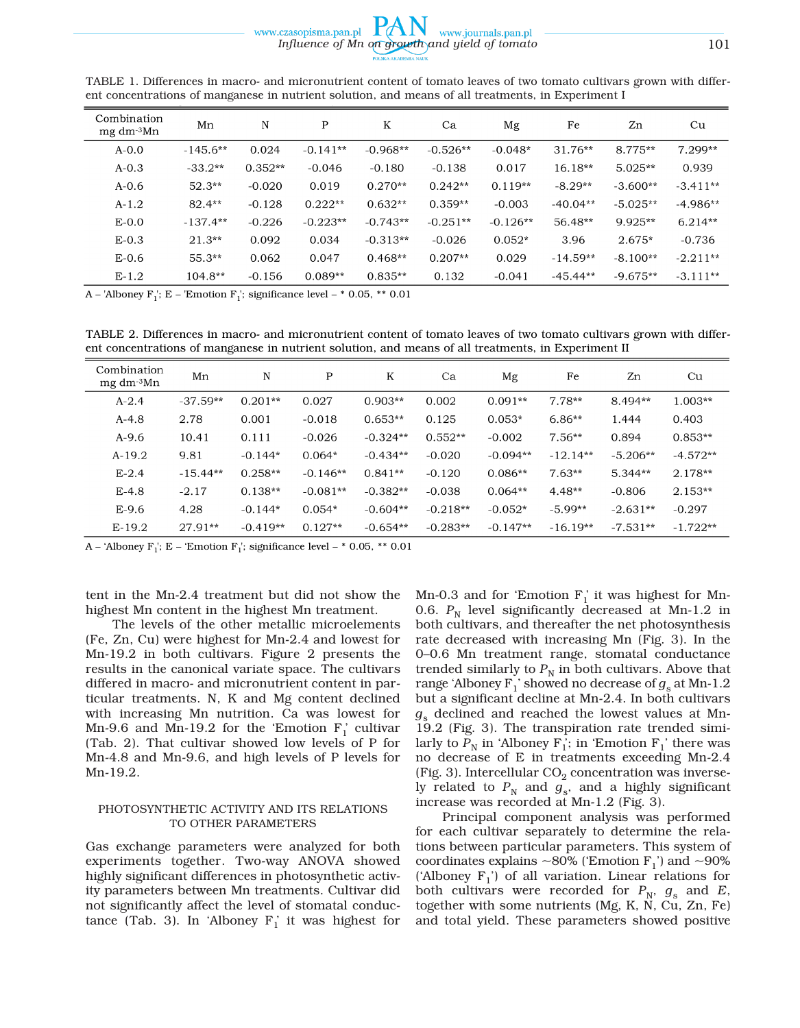| ent concentrations of manganese in matricile solution, and means of an treatments, in Experiment i |            |           |            |            |            |            |            |            |            |
|----------------------------------------------------------------------------------------------------|------------|-----------|------------|------------|------------|------------|------------|------------|------------|
| Combination<br>mg dm <sup>-3</sup> Mn                                                              | Mn         | N         | P          | K          | Ca         | Mg         | Fe         | Zn         | Cu         |
| $A - 0.0$                                                                                          | $-145.6**$ | 0.024     | $-0.141**$ | $-0.968**$ | $-0.526**$ | $-0.048*$  | $31.76**$  | 8.775**    | $7.299**$  |
| $A - 0.3$                                                                                          | $-33.2**$  | $0.352**$ | $-0.046$   | $-0.180$   | $-0.138$   | 0.017      | $16.18**$  | $5.025**$  | 0.939      |
| $A - 0.6$                                                                                          | $52.3**$   | $-0.020$  | 0.019      | $0.270**$  | $0.242**$  | $0.119**$  | $-8.29**$  | $-3.600**$ | $-3.411**$ |
| $A-1.2$                                                                                            | $82.4**$   | $-0.128$  | $0.222**$  | $0.632**$  | $0.359**$  | $-0.003$   | $-40.04**$ | $-5.025**$ | $-4.986**$ |
| $E-0.0$                                                                                            | $-137.4**$ | $-0.226$  | $-0.223**$ | $-0.743**$ | $-0.251**$ | $-0.126**$ | 56.48**    | $9.925**$  | $6.214**$  |
| $E-0.3$                                                                                            | $21.3**$   | 0.092     | 0.034      | $-0.313**$ | $-0.026$   | $0.052*$   | 3.96       | $2.675*$   | $-0.736$   |
| $E-0.6$                                                                                            | $55.3**$   | 0.062     | 0.047      | $0.468**$  | $0.207**$  | 0.029      | $-14.59**$ | $-8.100**$ | $-2.211**$ |
| $E-1.2$                                                                                            | $104.8**$  | $-0.156$  | $0.089**$  | $0.835**$  | 0.132      | $-0.041$   | $-45.44**$ | $-9.675**$ | $-3.111**$ |

TABLE 1. Differences in macro- and micronutrient content of tomato leaves of two tomato cultivars grown with different concentrations of manganese in nutrient solution, and means of all treatments, in Experiment I

A – 'Alboney F<sub>1</sub>'; E – 'Emotion F<sub>1</sub>'; significance level – \* 0.05, \*\* 0.01

TABLE 2. Differences in macro- and micronutrient content of tomato leaves of two tomato cultivars grown with different concentrations of manganese in nutrient solution, and means of all treatments, in Experiment II

| Combination<br>mg dm <sup>-3</sup> Mn | Mn         | N          | P          | K          | Ca         | Mg         | Fe         | Zn         | Cu         |
|---------------------------------------|------------|------------|------------|------------|------------|------------|------------|------------|------------|
| $A-2.4$                               | $-37.59**$ | $0.201**$  | 0.027      | $0.903**$  | 0.002      | $0.091**$  | 7.78**     | 8.494**    | $1.003**$  |
| $A-4.8$                               | 2.78       | 0.001      | $-0.018$   | $0.653**$  | 0.125      | $0.053*$   | $6.86**$   | 1.444      | 0.403      |
| $A-9.6$                               | 10.41      | 0.111      | $-0.026$   | $-0.324**$ | $0.552**$  | $-0.002$   | $7.56**$   | 0.894      | $0.853**$  |
| $A-19.2$                              | 9.81       | $-0.144*$  | $0.064*$   | $-0.434**$ | $-0.020$   | $-0.094**$ | $-12.14**$ | $-5.206**$ | $-4.572**$ |
| $E-2.4$                               | $-15.44**$ | $0.258**$  | $-0.146**$ | $0.841**$  | $-0.120$   | $0.086**$  | $7.63**$   | 5.344**    | 2.178**    |
| $E-4.8$                               | $-2.17$    | $0.138**$  | $-0.081**$ | $-0.382**$ | $-0.038$   | $0.064**$  | $4.48**$   | $-0.806$   | $2.153**$  |
| $E-9.6$                               | 4.28       | $-0.144*$  | $0.054*$   | $-0.604**$ | $-0.218**$ | $-0.052*$  | $-5.99**$  | $-2.631**$ | $-0.297$   |
| $E-19.2$                              | 27.91**    | $-0.419**$ | $0.127**$  | $-0.654**$ | $-0.283**$ | $-0.147**$ | $-16.19**$ | $-7.531**$ | $-1.722**$ |

A – 'Alboney F<sub>1</sub>'; E – 'Emotion F<sub>1</sub>'; significance level –  $*$  0.05,  $**$  0.01

tent in the Mn-2.4 treatment but did not show the highest Mn content in the highest Mn treatment.

The levels of the other metallic microelements (Fe, Zn, Cu) were highest for Mn-2.4 and lowest for Mn-19.2 in both cultivars. Figure 2 presents the results in the canonical variate space. The cultivars differed in macro- and micronutrient content in particular treatments. N, K and Mg content declined with increasing Mn nutrition. Ca was lowest for Mn-9.6 and Mn-19.2 for the 'Emotion  $F_1$ ' cultivar (Tab. 2). That cultivar showed low levels of P for Mn-4.8 and Mn-9.6, and high levels of P levels for Mn-19.2.

### PHOTOSYNTHETIC ACTIVITY AND ITS RELATIONS TO OTHER PARAMETERS

Gas exchange parameters were analyzed for both experiments together. Two-way ANOVA showed highly significant differences in photosynthetic activity parameters between Mn treatments. Cultivar did not significantly affect the level of stomatal conductance (Tab. 3). In 'Alboney  $F_1$ ' it was highest for

Mn-0.3 and for 'Emotion  $F_1$ ' it was highest for Mn-0.6.  $P_N$  level significantly decreased at Mn-1.2 in both cultivars, and thereafter the net photosynthesis rate decreased with increasing Mn (Fig. 3). In the 0–0.6 Mn treatment range, stomatal conductance trended similarly to  $P_N$  in both cultivars. Above that range 'Alboney  $F_1$ ' showed no decrease of  $g_s$  at Mn-1.2 but a significant decline at Mn-2.4. In both cultivars  $g_s$  declined and reached the lowest values at Mn-19.2 (Fig. 3). The transpiration rate trended similarly to  $P_N$  in 'Alboney F<sub>1</sub>'; in 'Emotion F<sub>1</sub>' there was no decrease of E in treatments exceeding Mn-2.4 (Fig. 3). Intercellular  $CO<sub>2</sub>$  concentration was inversely related to  $P_N$  and  $g_s$ , and a highly significant increase was recorded at Mn-1.2 (Fig. 3).

Principal component analysis was performed for each cultivar separately to determine the relations between particular parameters. This system of coordinates explains  $\sim$ 80% ('Emotion F<sub>1</sub>') and  $\sim$ 90% ('Alboney  $F_1$ ') of all variation. Linear relations for both cultivars were recorded for  $P_N$ ,  $g_s$  and  $E$ , together with some nutrients (Mg, K, N, Cu, Zn, Fe) and total yield. These parameters showed positive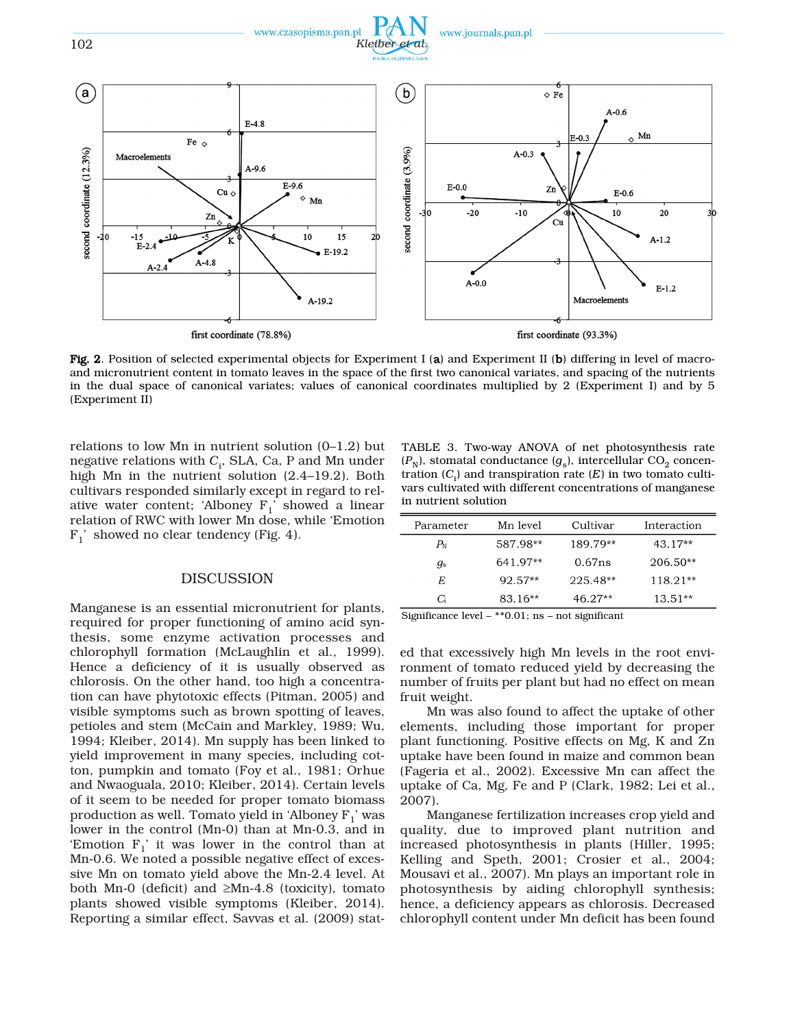

Fig. 2. Position of selected experimental objects for Experiment I (a) and Experiment II (b) differing in level of macroand micronutrient content in tomato leaves in the space of the first two canonical variates, and spacing of the nutrients in the dual space of canonical variates; values of canonical coordinates multiplied by 2 (Experiment I) and by 5 (Experiment II)

relations to low Mn in nutrient solution (0–1.2) but negative relations with *C*<sup>i</sup> , SLA, Ca, P and Mn under high Mn in the nutrient solution (2.4–19.2). Both cultivars responded similarly except in regard to relative water content; 'Alboney  $F_1$ ' showed a linear relation of RWC with lower Mn dose, while 'Emotion  $F_1'$  showed no clear tendency (Fig. 4).

## DISCUSSION

Manganese is an essential micronutrient for plants, required for proper functioning of amino acid synthesis, some enzyme activation processes and chlorophyll formation (McLaughlin et al., 1999). Hence a deficiency of it is usually observed as chlorosis. On the other hand, too high a concentration can have phytotoxic effects (Pitman, 2005) and visible symptoms such as brown spotting of leaves, petioles and stem (McCain and Markley, 1989; Wu, 1994; Kleiber, 2014). Mn supply has been linked to yield improvement in many species, including cotton, pumpkin and tomato (Foy et al., 1981; Orhue and Nwaoguala, 2010; Kleiber, 2014). Certain levels of it seem to be needed for proper tomato biomass production as well. Tomato yield in 'Alboney  $F_1$ ' was lower in the control (Mn-0) than at Mn-0.3, and in 'Emotion  $F_1$ ' it was lower in the control than at Mn-0.6. We noted a possible negative effect of excessive Mn on tomato yield above the Mn-2.4 level. At both Mn-0 (deficit) and  $\geq$ Mn-4.8 (toxicity), tomato plants showed visible symptoms (Kleiber, 2014). Reporting a similar effect, Savvas et al. (2009) stat-

TABLE 3. Two-way ANOVA of net photosynthesis rate  $(P_N)$ , stomatal conductance  $(g_s)$ , intercellular CO<sub>2</sub> concentration (*C*<sup>i</sup> ) and transpiration rate (*E*) in two tomato cultivars cultivated with different concentrations of manganese in nutrient solution

| Parameter   | Mn level  | Cultivar  | Interaction |
|-------------|-----------|-----------|-------------|
| $P_{\rm N}$ | 587.98**  | 189.79**  | $43.17**$   |
| дs          | 641.97**  | 0.67ns    | $206.50**$  |
| F.          | $92.57**$ | 225.48**  | $118.21**$  |
| G           | $83.16**$ | $46.27**$ | $13.51**$   |
|             |           |           |             |

Significance level – \*\*0.01; ns – not significant

ed that excessively high Mn levels in the root environment of tomato reduced yield by decreasing the number of fruits per plant but had no effect on mean fruit weight.

Mn was also found to affect the uptake of other elements, including those important for proper plant functioning. Positive effects on Mg, K and Zn uptake have been found in maize and common bean (Fageria et al., 2002). Excessive Mn can affect the uptake of Ca, Mg, Fe and P (Clark, 1982; Lei et al., 2007).

Manganese fertilization increases crop yield and quality, due to improved plant nutrition and increased photosynthesis in plants (Hiller, 1995; Kelling and Speth, 2001; Crosier et al., 2004; Mousavi et al., 2007). Mn plays an important role in photosynthesis by aiding chlorophyll synthesis; hence, a deficiency appears as chlorosis. Decreased chlorophyll content under Mn deficit has been found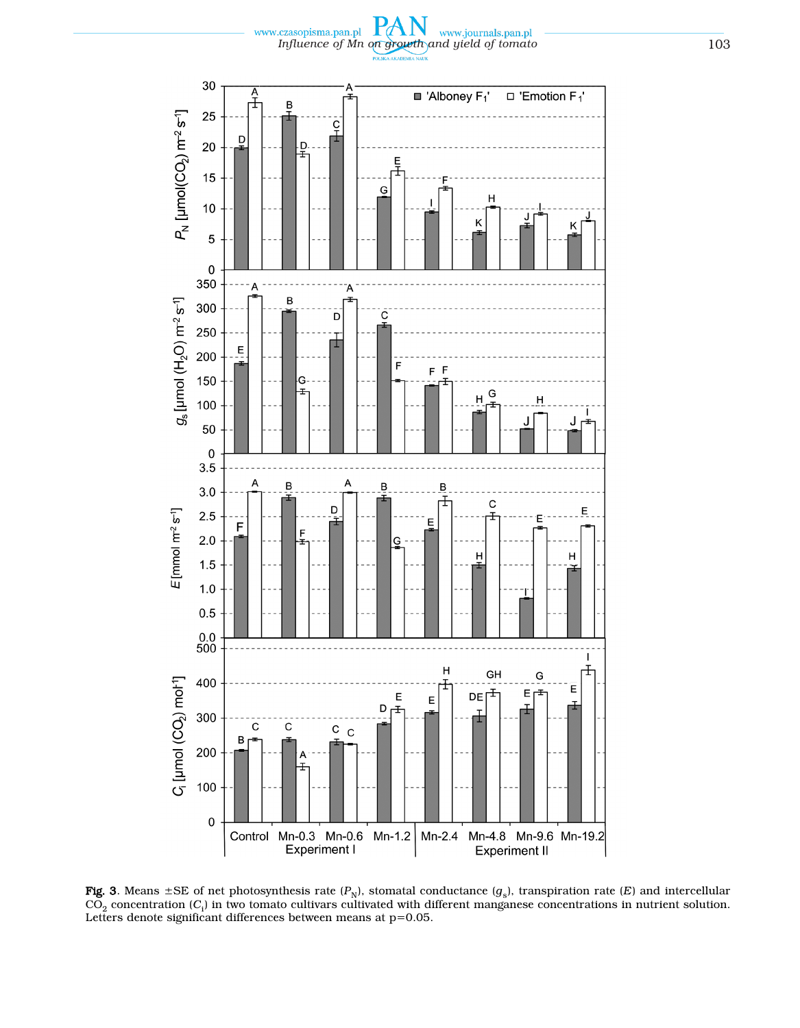P *Influence of Mn on growth and yield of tomato* 103



Fig. 3. Means  $\pm$ SE of net photosynthesis rate  $(P_N)$ , stomatal conductance  $(g_s)$ , transpiration rate (*E*) and intercellular  $\mathrm{CO}_2$  concentration ( $\mathrm{C_i)}$  in two tomato cultivars cultivated with different manganese concentrations in nutrient solution. Letters denote significant differences between means at p=0.05.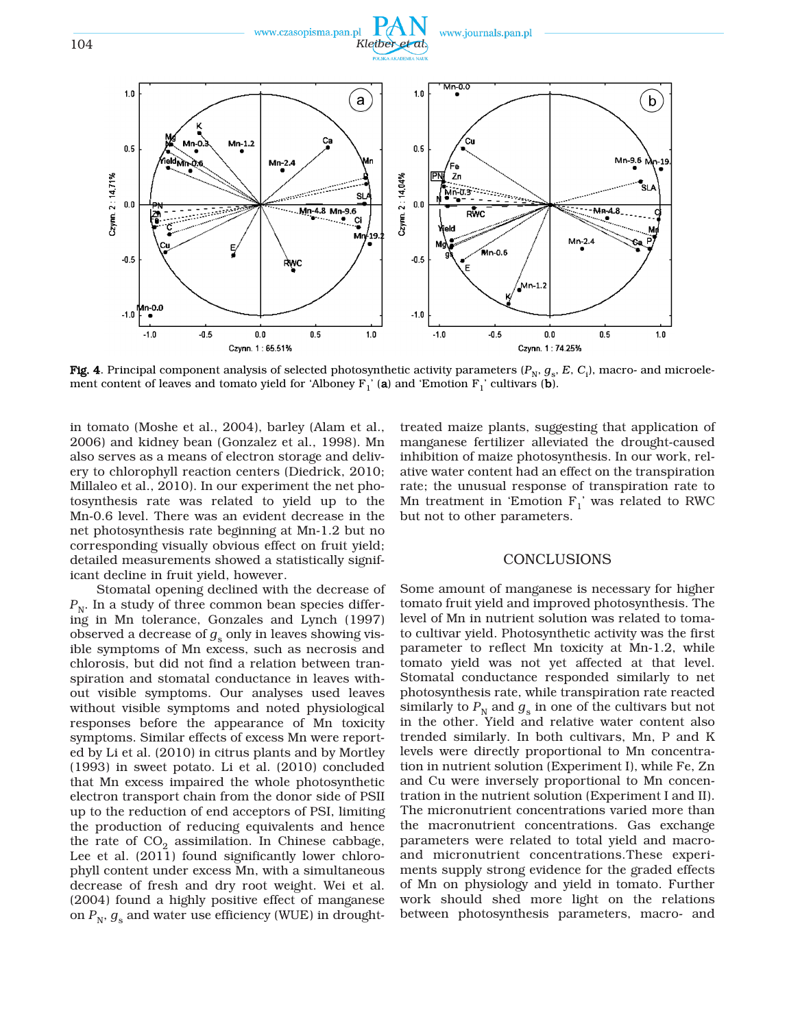

**Fig. 4**. Principal component analysis of selected photosynthetic activity parameters ( $P_\text{N},$   $g_\text{s},$   $E,$   $C_\text{i}$ ), macro- and microelement content of leaves and tomato yield for 'Alboney  $F_1'$ ' (a) and 'Emotion  $F_1'$ ' cultivars (b).

in tomato (Moshe et al., 2004), barley (Alam et al., 2006) and kidney bean (Gonzalez et al., 1998). Mn also serves as a means of electron storage and delivery to chlorophyll reaction centers (Diedrick, 2010; Millaleo et al., 2010). In our experiment the net photosynthesis rate was related to yield up to the Mn-0.6 level. There was an evident decrease in the net photosynthesis rate beginning at Mn-1.2 but no corresponding visually obvious effect on fruit yield; detailed measurements showed a statistically significant decline in fruit yield, however.

Stomatal opening declined with the decrease of  $P_{N}$ . In a study of three common bean species differing in Mn tolerance, Gonzales and Lynch (1997) observed a decrease of  $g_s$  only in leaves showing visible symptoms of Mn excess, such as necrosis and chlorosis, but did not find a relation between transpiration and stomatal conductance in leaves without visible symptoms. Our analyses used leaves without visible symptoms and noted physiological responses before the appearance of Mn toxicity symptoms. Similar effects of excess Mn were reported by Li et al. (2010) in citrus plants and by Mortley (1993) in sweet potato. Li et al. (2010) concluded that Mn excess impaired the whole photosynthetic electron transport chain from the donor side of PSII up to the reduction of end acceptors of PSI, limiting the production of reducing equivalents and hence the rate of  $CO<sub>2</sub>$  assimilation. In Chinese cabbage, Lee et al. (2011) found significantly lower chlorophyll content under excess Mn, with a simultaneous decrease of fresh and dry root weight. Wei et al. (2004) found a highly positive effect of manganese on  $P_N$ ,  $g_s$  and water use efficiency (WUE) in droughttreated maize plants, suggesting that application of manganese fertilizer alleviated the drought-caused inhibition of maize photosynthesis. In our work, relative water content had an effect on the transpiration rate; the unusual response of transpiration rate to Mn treatment in 'Emotion  $F_1$ ' was related to RWC but not to other parameters.

# CONCLUSIONS

Some amount of manganese is necessary for higher tomato fruit yield and improved photosynthesis. The level of Mn in nutrient solution was related to tomato cultivar yield. Photosynthetic activity was the first parameter to reflect Mn toxicity at Mn-1.2, while tomato yield was not yet affected at that level. Stomatal conductance responded similarly to net photosynthesis rate, while transpiration rate reacted similarly to  $P_N$  and  $g_S$  in one of the cultivars but not in the other. Yield and relative water content also trended similarly. In both cultivars, Mn, P and K levels were directly proportional to Mn concentration in nutrient solution (Experiment I), while Fe, Zn and Cu were inversely proportional to Mn concentration in the nutrient solution (Experiment I and II). The micronutrient concentrations varied more than the macronutrient concentrations. Gas exchange parameters were related to total yield and macroand micronutrient concentrations.These experiments supply strong evidence for the graded effects of Mn on physiology and yield in tomato. Further work should shed more light on the relations between photosynthesis parameters, macro- and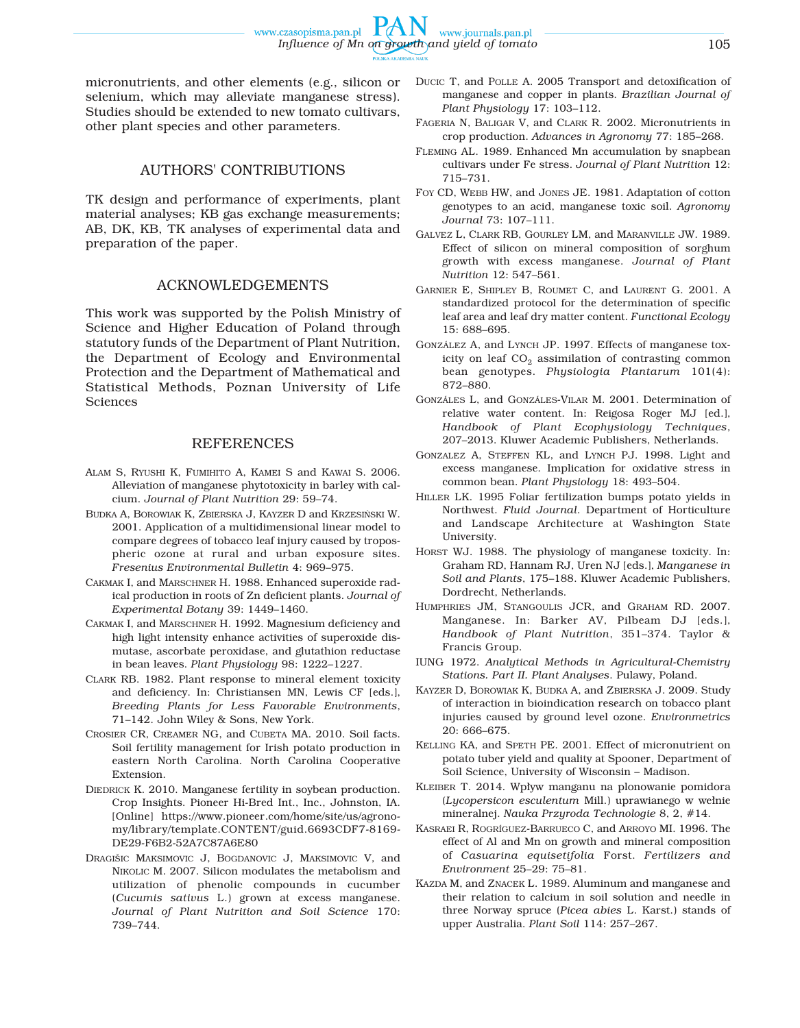www.czasopisma.pan.pl

### AUTHORS' CONTRIBUTIONS

other plant species and other parameters.

TK design and performance of experiments, plant material analyses; KB gas exchange measurements; AB, DK, KB, TK analyses of experimental data and preparation of the paper.

# ACKNOWLEDGEMENTS

This work was supported by the Polish Ministry of Science and Higher Education of Poland through statutory funds of the Department of Plant Nutrition, the Department of Ecology and Environmental Protection and the Department of Mathematical and Statistical Methods, Poznan University of Life Sciences

# **REFERENCES**

- ALAM S, RYUSHI K, FUMIHITO A, KAMEI S and KAWAI S. 2006. Alleviation of manganese phytotoxicity in barley with calcium. *Journal of Plant Nutrition* 29: 59–74.
- BUDKA A, BOROWIAK K, ZBIERSKA J, KAYZER D and KRZESIŃSKI W. 2001. Application of a multidimensional linear model to compare degrees of tobacco leaf injury caused by tropospheric ozone at rural and urban exposure sites. *Fresenius Environmental Bulletin* 4: 969–975.
- CAKMAK I, and MARSCHNER H. 1988. Enhanced superoxide radical production in roots of Zn deficient plants. *Journal of Experimental Botany* 39: 1449–1460.
- CAKMAK I, and MARSCHNER H. 1992. Magnesium deficiency and high light intensity enhance activities of superoxide dismutase, ascorbate peroxidase, and glutathion reductase in bean leaves. *Plant Physiology* 98: 1222–1227.
- CLARK RB. 1982. Plant response to mineral element toxicity and deficiency. In: Christiansen MN, Lewis CF [eds.], *Breeding Plants for Less Favorable Environments*, 71–142. John Wiley & Sons, New York.
- CROSIER CR, CREAMER NG, and CUBETA MA. 2010. Soil facts. Soil fertility management for Irish potato production in eastern North Carolina. North Carolina Cooperative Extension.
- DIEDRICK K. 2010. Manganese fertility in soybean production. Crop Insights. Pioneer Hi-Bred Int., Inc., Johnston, IA. [Online] https://www.pioneer.com/home/site/us/agronomy/library/template.CONTENT/guid.6693CDF7-8169- DE29-F6B2-52A7C87A6E80
- DRAGIŠIC MAKSIMOVIC J, BOGDANOVIC J, MAKSIMOVIC V, and NIKOLIC M. 2007. Silicon modulates the metabolism and utilization of phenolic compounds in cucumber (*Cucumis sativus* L.) grown at excess manganese. *Journal of Plant Nutrition and Soil Science* 170: 739–744.

DUCIC T, and POLLE A. 2005 Transport and detoxification of manganese and copper in plants. *Brazilian Journal of Plant Physiology* 17: 103–112.

www.journals.pan.pl

- FAGERIA N, BALIGAR V, and CLARK R. 2002. Micronutrients in crop production. *Advances in Agronomy* 77: 185–268.
- FLEMING AL. 1989. Enhanced Mn accumulation by snapbean cultivars under Fe stress. *Journal of Plant Nutrition* 12: 715–731.
- FOY CD, WEBB HW, and JONES JE. 1981. Adaptation of cotton genotypes to an acid, manganese toxic soil. *Agronomy Journal* 73: 107–111.
- GALVEZ L, CLARK RB, GOURLEY LM, and MARANVILLE JW. 1989. Effect of silicon on mineral composition of sorghum growth with excess manganese. *Journal of Plant Nutrition* 12: 547–561.
- GARNIER E, SHIPLEY B, ROUMET C, and LAURENT G. 2001. A standardized protocol for the determination of specific leaf area and leaf dry matter content. *Functional Ecology* 15: 688–695.
- GONZÁLEZ A, and LYNCH JP. 1997. Effects of manganese toxicity on leaf  $CO<sub>2</sub>$  assimilation of contrasting common bean genotypes. *Physiologia Plantarum* 101(4): 872–880.
- GONZÁLES L, and GONZÁLES-VILAR M. 2001. Determination of relative water content. In: Reigosa Roger MJ [ed.], *Handbook of Plant Ecophysiology Techniques*, 207–2013. Kluwer Academic Publishers, Netherlands.
- GONZALEZ A, STEFFEN KL, and LYNCH PJ. 1998. Light and excess manganese. Implication for oxidative stress in common bean. *Plant Physiology* 18: 493–504.
- HILLER LK. 1995 Foliar fertilization bumps potato yields in Northwest. *Fluid Journal*. Department of Horticulture and Landscape Architecture at Washington State University.
- HORST WJ. 1988. The physiology of manganese toxicity. In: Graham RD, Hannam RJ, Uren NJ [eds.], *Manganese in Soil and Plants*, 175–188. Kluwer Academic Publishers, Dordrecht, Netherlands.
- HUMPHRIES JM, STANGOULIS JCR, and GRAHAM RD. 2007. Manganese. In: Barker AV, Pilbeam DJ [eds.], *Handbook of Plant Nutrition*, 351–374. Taylor & Francis Group.
- IUNG 1972. *Analytical Methods in Agricultural-Chemistry Stations. Part II. Plant Analyses*. Pulawy, Poland.
- KAYZER D, BOROWIAK K, BUDKA A, and ZBIERSKA J. 2009. Study of interaction in bioindication research on tobacco plant injuries caused by ground level ozone. *Environmetrics* 20: 666–675.
- KELLING KA, and SPETH PE. 2001. Effect of micronutrient on potato tuber yield and quality at Spooner, Department of Soil Science, University of Wisconsin – Madison.
- KLEIBER T. 2014. Wpływ manganu na plonowanie pomidora (*Lycopersicon esculentum* Mill.) uprawianego w wełnie mineralnej. *Nauka Przyroda Technologie* 8, 2, #14.
- KASRAEI R, ROGRÍGUEZ-BARRUECO C, and ARROYO MI. 1996. The effect of Al and Mn on growth and mineral composition of *Casuarina equisetifolia* Forst. *Fertilizers and Environment* 25–29: 75–81.
- KAZDA M, and ZNACEK L. 1989. Aluminum and manganese and their relation to calcium in soil solution and needle in three Norway spruce (*Picea abies* L. Karst.) stands of upper Australia. *Plant Soil* 114: 257–267.